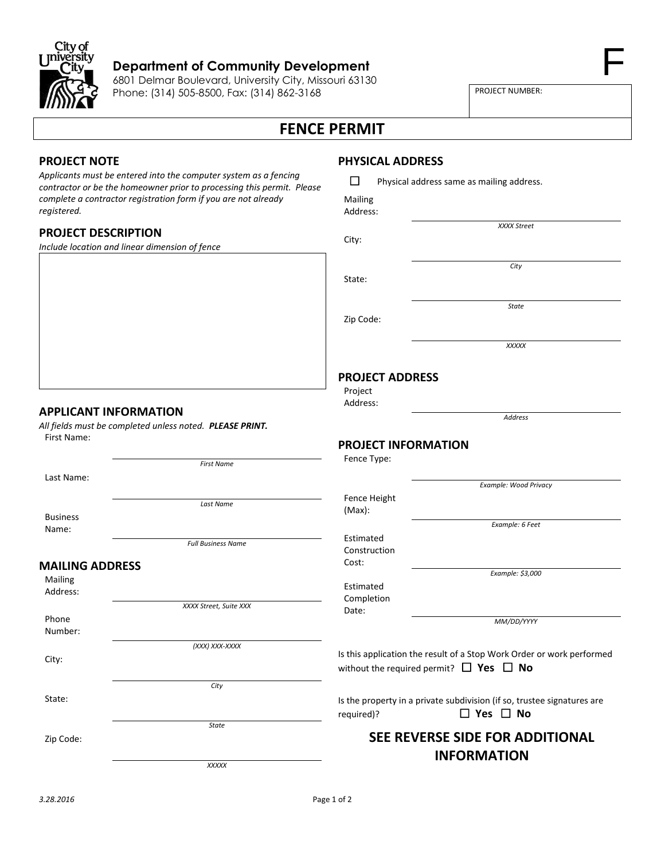

#### **Department of Community Development**

6801 Delmar Boulevard, University City, Missouri 63130 Phone: (314) 505-8500, Fax: (314) 862-3168

PROJECT NUMBER:

F

# **FENCE PERMIT**

### **PROJECT NOTE**

*Applicants must be entered into the computer system as a fencing contractor or be the homeowner prior to processing this permit. Please complete a contractor registration form if you are not already registered.*

### **PROJECT DESCRIPTION**

*Include location and linear dimension of fence*

## **PHYSICAL ADDRESS**

| $\Box$  | Physical address same as mailing address. |  |  |
|---------|-------------------------------------------|--|--|
| Mailing |                                           |  |  |

| Address: |
|----------|

City:

State:

Zip Code:

*State*

*XXXX Street*

*City*

*XXXXX*

### **PROJECT ADDRESS**

Project Address:

*Address*

### **PROJECT INFORMATION**

| Fence Type: |  |
|-------------|--|
|-------------|--|

*Example: Wood Privacy* Fence Height (Max): *Example: 6 Feet* Estimated Construction Cost: *Example: \$3,000* Estimated Completion Date: *MM/DD/YYYY*

Is this application the result of a Stop Work Order or work performed without the required permit?  $\Box$  **Yes**  $\Box$  **No** 

Is the property in a private subdivision (if so, trustee signatures are **required)?** □ Yes □ No

# **SEE REVERSE SIDE FOR ADDITIONAL INFORMATION**

**APPLICANT INFORMATION**

*All fields must be completed unless noted. PLEASE PRINT.* First Name:

Last Name:

*First Name*

Business Name:

*Last Name*

*XXXX Street, Suite XXX*

*(XXX) XXX-XXXX*

*City*

*State*

*Full Business Name*

#### **MAILING ADDRESS**

Mailing Address:

Phone Number:

City:

State:

Zip Code:

*XXXXX*